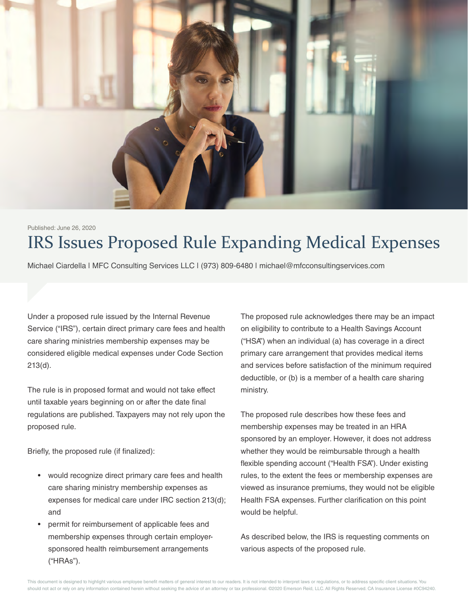

# IRS Issues Proposed Rule Expanding Medical Expenses Published: June 26, 2020

Michael Ciardella | MFC Consulting Services LLC | (973) 809-6480 | michael@mfcconsultingservices.com

Under a proposed rule issued by the Internal Revenue Service ("IRS"), certain direct primary care fees and health care sharing ministries membership expenses may be considered eligible medical expenses under Code Section 213(d).

The rule is in proposed format and would not take effect until taxable years beginning on or after the date final regulations are published. Taxpayers may not rely upon the proposed rule.

Briefly, the proposed rule (if finalized):

- would recognize direct primary care fees and health care sharing ministry membership expenses as expenses for medical care under IRC section 213(d); and
- permit for reimbursement of applicable fees and membership expenses through certain employersponsored health reimbursement arrangements ("HRAs").

The proposed rule acknowledges there may be an impact on eligibility to contribute to a Health Savings Account ("HSA") when an individual (a) has coverage in a direct primary care arrangement that provides medical items and services before satisfaction of the minimum required deductible, or (b) is a member of a health care sharing ministry.

The proposed rule describes how these fees and membership expenses may be treated in an HRA sponsored by an employer. However, it does not address whether they would be reimbursable through a health flexible spending account ("Health FSA"). Under existing rules, to the extent the fees or membership expenses are viewed as insurance premiums, they would not be eligible Health FSA expenses. Further clarification on this point would be helpful.

As described below, the IRS is requesting comments on various aspects of the proposed rule.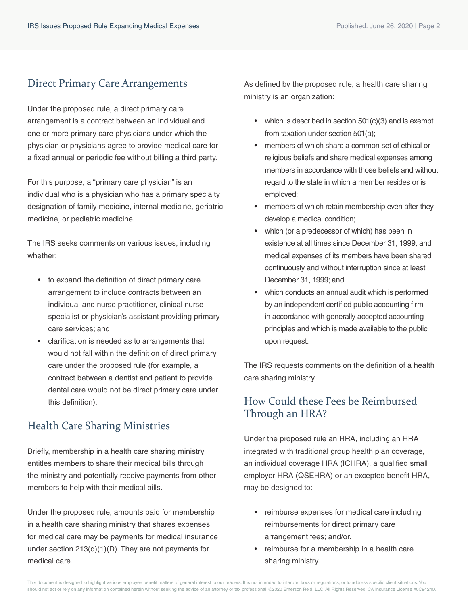## Direct Primary Care Arrangements

Under the proposed rule, a direct primary care arrangement is a contract between an individual and one or more primary care physicians under which the physician or physicians agree to provide medical care for a fixed annual or periodic fee without billing a third party.

For this purpose, a "primary care physician" is an individual who is a physician who has a primary specialty designation of family medicine, internal medicine, geriatric medicine, or pediatric medicine.

The IRS seeks comments on various issues, including whether:

- to expand the definition of direct primary care arrangement to include contracts between an individual and nurse practitioner, clinical nurse specialist or physician's assistant providing primary care services; and
- clarification is needed as to arrangements that would not fall within the definition of direct primary care under the proposed rule (for example, a contract between a dentist and patient to provide dental care would not be direct primary care under this definition).

## Health Care Sharing Ministries

Briefly, membership in a health care sharing ministry entitles members to share their medical bills through the ministry and potentially receive payments from other members to help with their medical bills.

Under the proposed rule, amounts paid for membership in a health care sharing ministry that shares expenses for medical care may be payments for medical insurance under section 213(d)(1)(D). They are not payments for medical care.

As defined by the proposed rule, a health care sharing ministry is an organization:

- which is described in section 501(c)(3) and is exempt from taxation under section 501(a);
- members of which share a common set of ethical or religious beliefs and share medical expenses among members in accordance with those beliefs and without regard to the state in which a member resides or is employed;
- members of which retain membership even after they develop a medical condition;
- which (or a predecessor of which) has been in existence at all times since December 31, 1999, and medical expenses of its members have been shared continuously and without interruption since at least December 31, 1999; and
- which conducts an annual audit which is performed by an independent certified public accounting firm in accordance with generally accepted accounting principles and which is made available to the public upon request.

The IRS requests comments on the definition of a health care sharing ministry.

#### How Could these Fees be Reimbursed Through an HRA?

Under the proposed rule an HRA, including an HRA integrated with traditional group health plan coverage, an individual coverage HRA (ICHRA), a qualified small employer HRA (QSEHRA) or an excepted benefit HRA, may be designed to:

- reimburse expenses for medical care including reimbursements for direct primary care arrangement fees; and/or.
- reimburse for a membership in a health care sharing ministry.

This document is designed to highlight various employee benefit matters of general interest to our readers. It is not intended to interpret laws or regulations, or to address specific client situations. You should not act or rely on any information contained herein without seeking the advice of an attorney or tax professional. @2020 Emerson Reid, LLC. All Rights Reserved. CA Insurance License #0C94240.